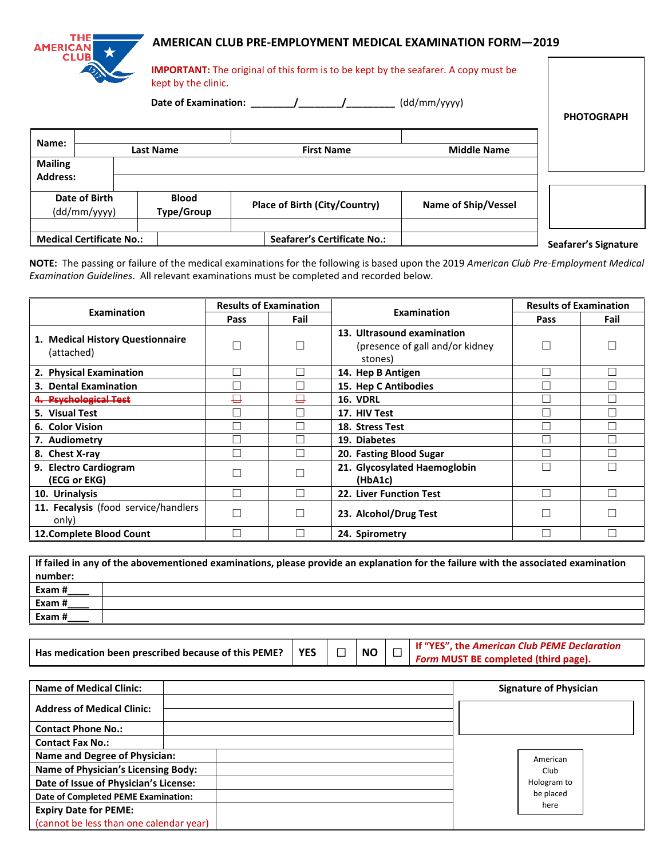## **AMERICAN CLUB PRE-EMPLOYMENT MEDICAL EXAMINATION FORM—2019**

| <b>AMERICAN</b>                 | ★<br><b>CLUB</b> | kept by the clinic.        |                                      |  |                   |                            | AMERICAN CLUD PRE-EMPLOTMENT MEDICAL EXAMINATION FORM—Z019<br><b>IMPORTANT:</b> The original of this form is to be kept by the seafarer. A copy must be |                      |  |  |
|---------------------------------|------------------|----------------------------|--------------------------------------|--|-------------------|----------------------------|---------------------------------------------------------------------------------------------------------------------------------------------------------|----------------------|--|--|
|                                 |                  | Date of Examination: (a)   |                                      |  |                   |                            | (dd/mm/yyyy)                                                                                                                                            | <b>PHOTOGRAPH</b>    |  |  |
| Name:<br><b>Mailing</b>         |                  | <b>Last Name</b>           |                                      |  | <b>First Name</b> |                            | <b>Middle Name</b>                                                                                                                                      |                      |  |  |
| <b>Address:</b>                 |                  |                            |                                      |  |                   |                            |                                                                                                                                                         |                      |  |  |
| Date of Birth<br>(dd/mm/yyyy)   |                  | <b>Blood</b><br>Type/Group | <b>Place of Birth (City/Country)</b> |  |                   | <b>Name of Ship/Vessel</b> |                                                                                                                                                         |                      |  |  |
| <b>Medical Certificate No.:</b> |                  |                            | <b>Seafarer's Certificate No.:</b>   |  |                   |                            |                                                                                                                                                         | Seafarer's Signature |  |  |

**NOTE:** The passing or failure of the medical examinations for the following is based upon the 2019 *American Club Pre-Employment Medical Examination Guidelines*. All relevant examinations must be completed and recorded below.

| <b>Examination</b>                             |      | <b>Results of Examination</b> | Examination                                                               | <b>Results of Examination</b> |      |  |
|------------------------------------------------|------|-------------------------------|---------------------------------------------------------------------------|-------------------------------|------|--|
|                                                | Pass | Fail                          |                                                                           | Pass                          | Fail |  |
| 1. Medical History Questionnaire<br>(attached) |      |                               | 13. Ultrasound examination<br>(presence of gall and/or kidney)<br>stones) |                               |      |  |
| 2. Physical Examination                        |      |                               | 14. Hep B Antigen                                                         |                               |      |  |
| 3. Dental Examination                          |      |                               | 15. Hep C Antibodies                                                      |                               |      |  |
| 4. Psychological Test                          | ⊟    |                               | <b>16. VDRL</b>                                                           |                               |      |  |
| 5. Visual Test                                 |      |                               | 17. HIV Test                                                              |                               |      |  |
| 6. Color Vision                                |      |                               | 18. Stress Test                                                           |                               |      |  |
| 7. Audiometry                                  |      |                               | 19. Diabetes                                                              |                               |      |  |
| 8. Chest X-ray                                 |      |                               | 20. Fasting Blood Sugar                                                   |                               |      |  |
| 9. Electro Cardiogram<br>(ECG or EKG)          |      |                               | 21. Glycosylated Haemoglobin<br>(HbA1c)                                   |                               |      |  |
| 10. Urinalysis                                 |      |                               | 22. Liver Function Test                                                   |                               |      |  |
| 11. Fecalysis (food service/handlers<br>only)  |      |                               | 23. Alcohol/Drug Test                                                     |                               |      |  |
| 12. Complete Blood Count                       |      |                               | 24. Spirometry                                                            |                               |      |  |

| If failed in any of the abovementioned examinations, please provide an explanation for the failure with the associated examination |  |  |  |  |  |  |  |  |
|------------------------------------------------------------------------------------------------------------------------------------|--|--|--|--|--|--|--|--|
| number:                                                                                                                            |  |  |  |  |  |  |  |  |
| Exam#                                                                                                                              |  |  |  |  |  |  |  |  |
| Exam#                                                                                                                              |  |  |  |  |  |  |  |  |
| Exam #                                                                                                                             |  |  |  |  |  |  |  |  |

| Has medication been prescribed because of this PEME?   YES |  |
|------------------------------------------------------------|--|
|------------------------------------------------------------|--|

**THE!** 

 $\begin{array}{|c|c|c|c|c|}\hline \textbf{S} & \textbf{N} & \textbf{N} & \textbf{N} & \textbf{N} & \textbf{N} & \textbf{N} & \textbf{N} & \textbf{N} & \textbf{N} & \textbf{N} & \textbf{N} & \textbf{N} & \textbf{N} & \textbf{N} & \textbf{N} & \textbf{N} & \textbf{N} & \textbf{N} & \textbf{N} & \textbf{N} & \textbf{N} & \textbf{N} & \textbf{N} & \textbf{N} & \textbf{N} & \textbf{N} & \textbf{N} & \textbf{N$ *Form* **MUST BE completed (third page).**

| <b>Name of Medical Clinic:</b>             | <b>Signature of Physician</b> |  |  |  |
|--------------------------------------------|-------------------------------|--|--|--|
| <b>Address of Medical Clinic:</b>          |                               |  |  |  |
| <b>Contact Phone No.:</b>                  |                               |  |  |  |
| <b>Contact Fax No.:</b>                    |                               |  |  |  |
| <b>Name and Degree of Physician:</b>       | American                      |  |  |  |
| <b>Name of Physician's Licensing Body:</b> | Club                          |  |  |  |
| Date of Issue of Physician's License:      | Hologram to                   |  |  |  |
| Date of Completed PEME Examination:        | be placed                     |  |  |  |
| <b>Expiry Date for PEME:</b>               | here                          |  |  |  |
| (cannot be less than one calendar year)    |                               |  |  |  |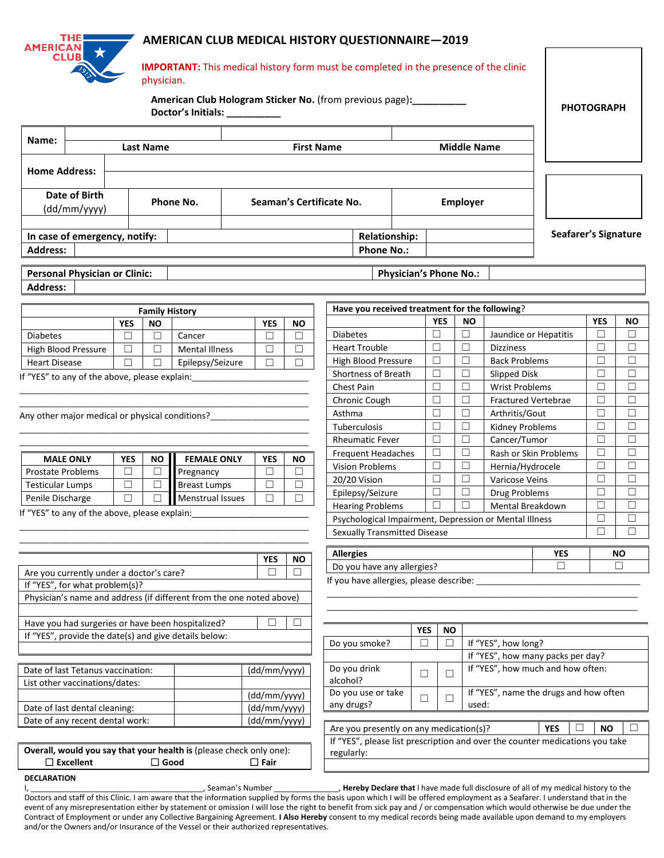## **AMERICAN CLUB MEDICAL HISTORY QUESTIONNAIRE—2019**

| <b>AMERICAN</b>                                                  | <b>CLUB</b>                                                                |            | physician.            | Doctor's Initials: __________                                        |                            |                 |                           |                                                                           | AIVIENICAIN CEOD IVIEDICAE HISTON I QUESTIONNAINE—Z013<br><b>IMPORTANT:</b> This medical history form must be completed in the presence of the clinic<br>American Club Hologram Sticker No. (from previous page): |                  |                            |                 |                                   |                                        | <b>PHOTOGRAPH</b> |        |
|------------------------------------------------------------------|----------------------------------------------------------------------------|------------|-----------------------|----------------------------------------------------------------------|----------------------------|-----------------|---------------------------|---------------------------------------------------------------------------|-------------------------------------------------------------------------------------------------------------------------------------------------------------------------------------------------------------------|------------------|----------------------------|-----------------|-----------------------------------|----------------------------------------|-------------------|--------|
| Name:<br><b>Middle Name</b><br><b>First Name</b>                 |                                                                            |            |                       |                                                                      |                            |                 |                           |                                                                           |                                                                                                                                                                                                                   |                  |                            |                 |                                   |                                        |                   |        |
| <b>Last Name</b>                                                 |                                                                            |            |                       |                                                                      |                            |                 |                           |                                                                           |                                                                                                                                                                                                                   |                  |                            |                 |                                   |                                        |                   |        |
| <b>Home Address:</b>                                             |                                                                            |            |                       |                                                                      |                            |                 |                           |                                                                           |                                                                                                                                                                                                                   |                  |                            |                 |                                   |                                        |                   |        |
| Date of Birth<br>(dd/mm/yyyy)                                    |                                                                            |            |                       | Phone No.                                                            | Seaman's Certificate No.   |                 |                           |                                                                           |                                                                                                                                                                                                                   |                  |                            | <b>Employer</b> |                                   |                                        |                   |        |
|                                                                  | In case of emergency, notify:                                              |            |                       |                                                                      |                            |                 |                           |                                                                           | <b>Relationship:</b>                                                                                                                                                                                              |                  |                            |                 |                                   | Seafarer's Signature                   |                   |        |
| <b>Address:</b>                                                  |                                                                            |            |                       |                                                                      |                            |                 |                           |                                                                           | <b>Phone No.:</b>                                                                                                                                                                                                 |                  |                            |                 |                                   |                                        |                   |        |
|                                                                  | <b>Personal Physician or Clinic:</b>                                       |            |                       |                                                                      |                            |                 |                           |                                                                           | <b>Physician's Phone No.:</b>                                                                                                                                                                                     |                  |                            |                 |                                   |                                        |                   |        |
| <b>Address:</b>                                                  |                                                                            |            |                       |                                                                      |                            |                 |                           |                                                                           |                                                                                                                                                                                                                   |                  |                            |                 |                                   |                                        |                   |        |
|                                                                  |                                                                            |            | <b>Family History</b> |                                                                      |                            |                 |                           |                                                                           | Have you received treatment for the following?                                                                                                                                                                    |                  |                            |                 |                                   |                                        |                   |        |
|                                                                  |                                                                            | <b>YES</b> | <b>NO</b>             |                                                                      |                            | <b>YES</b>      | <b>NO</b>                 |                                                                           |                                                                                                                                                                                                                   |                  | <b>YES</b>                 | NO.             |                                   |                                        | <b>YES</b>        | NO.    |
| <b>Diabetes</b>                                                  |                                                                            | $\Box$     | $\Box$                | Cancer                                                               |                            | $\Box$          | $\Box$                    |                                                                           | <b>Diabetes</b>                                                                                                                                                                                                   | $\Box$           |                            | $\Box$          | Jaundice or Hepatitis             |                                        | $\Box$            | □      |
|                                                                  | High Blood Pressure                                                        | $\Box$     | $\Box$                | <b>Mental Illness</b>                                                | $\Box$                     |                 |                           |                                                                           | <b>Heart Trouble</b>                                                                                                                                                                                              |                  | $\Box$                     | $\Box$          | <b>Dizziness</b>                  |                                        | П                 | □      |
| <b>Heart Disease</b>                                             |                                                                            | $\Box$     | □                     |                                                                      | $\Box$<br>Epilepsy/Seizure |                 |                           | <b>High Blood Pressure</b>                                                |                                                                                                                                                                                                                   | $\Box$           |                            | $\Box$          | <b>Back Problems</b>              |                                        | П                 | П      |
|                                                                  | If "YES" to any of the above, please explain:                              |            |                       |                                                                      |                            |                 |                           |                                                                           | Shortness of Breath                                                                                                                                                                                               | $\Box$           |                            | $\Box$          | Slipped Disk                      |                                        | □                 | □      |
|                                                                  |                                                                            |            |                       |                                                                      |                            |                 |                           |                                                                           | Chest Pain                                                                                                                                                                                                        | $\Box$           |                            | $\Box$          | <b>Wrist Problems</b>             |                                        | □                 | □      |
|                                                                  |                                                                            |            |                       |                                                                      |                            |                 | Chronic Cough             | $\Box$                                                                    |                                                                                                                                                                                                                   | $\Box$           | <b>Fractured Vertebrae</b> |                 | □                                 | □                                      |                   |        |
| Any other major medical or physical conditions?                  |                                                                            |            |                       |                                                                      |                            | Asthma          | Tuberculosis              | $\Box$<br>$\Box$                                                          |                                                                                                                                                                                                                   | $\Box$<br>$\Box$ | Arthritis/Gout             |                 | П<br>П                            | □<br>□                                 |                   |        |
|                                                                  |                                                                            |            |                       |                                                                      |                            |                 |                           |                                                                           | <b>Rheumatic Fever</b>                                                                                                                                                                                            | ⊔                |                            | $\Box$          | Kidney Problems<br>Cancer/Tumor   |                                        | □                 | $\Box$ |
|                                                                  |                                                                            |            |                       |                                                                      |                            |                 | <b>Frequent Headaches</b> | ⊔                                                                         |                                                                                                                                                                                                                   | $\Box$           | Rash or Skin Problems      |                 | □                                 | $\Box$                                 |                   |        |
|                                                                  | <b>MALE ONLY</b>                                                           | <b>YES</b> | NO.                   | <b>FEMALE ONLY</b>                                                   |                            | <b>YES</b>      | NO.                       |                                                                           | <b>Vision Problems</b>                                                                                                                                                                                            | □                |                            | $\Box$          |                                   | Hernia/Hydrocele                       |                   | □      |
| <b>Prostate Problems</b>                                         |                                                                            | □          | □                     | Pregnancy                                                            |                            | $\Box$          | $\Box$                    |                                                                           | 20/20 Vision                                                                                                                                                                                                      | $\Box$           |                            | $\Box$          | Varicose Veins                    |                                        | □<br>□            | □      |
| <b>Testicular Lumps</b>                                          |                                                                            | $\Box$     | $\Box$                | <b>Breast Lumps</b>                                                  |                            | $\Box$          | $\Box$                    |                                                                           | Epilepsy/Seizure                                                                                                                                                                                                  | $\Box$           |                            | $\Box$          | Drug Problems                     |                                        | □                 | □      |
| Penile Discharge                                                 |                                                                            | $\Box$     | $\Box$                | Menstrual Issues                                                     |                            | □               | $\Box$                    |                                                                           | <b>Hearing Problems</b>                                                                                                                                                                                           | $\Box$           |                            | $\Box$          | Mental Breakdown                  |                                        | □                 | □      |
|                                                                  | If "YES" to any of the above, please explain:                              |            |                       |                                                                      |                            |                 |                           |                                                                           | Psychological Impairment, Depression or Mental Illness                                                                                                                                                            |                  |                            |                 |                                   | □                                      | П                 |        |
|                                                                  |                                                                            |            |                       |                                                                      |                            |                 |                           |                                                                           | <b>Sexually Transmitted Disease</b>                                                                                                                                                                               |                  |                            |                 |                                   |                                        |                   |        |
|                                                                  |                                                                            |            |                       |                                                                      |                            |                 |                           | <b>Allergies</b><br><b>NO</b><br>YES                                      |                                                                                                                                                                                                                   |                  |                            |                 |                                   |                                        |                   |        |
|                                                                  |                                                                            |            |                       |                                                                      |                            | <b>YES</b><br>П | <b>NO</b><br>П            |                                                                           | Do you have any allergies?                                                                                                                                                                                        |                  |                            |                 |                                   | П                                      |                   | П      |
|                                                                  | Are you currently under a doctor's care?<br>If "YES", for what problem(s)? |            |                       |                                                                      |                            |                 |                           |                                                                           | If you have allergies, please describe:                                                                                                                                                                           |                  |                            |                 |                                   |                                        |                   |        |
|                                                                  |                                                                            |            |                       | Physician's name and address (if different from the one noted above) |                            |                 |                           |                                                                           |                                                                                                                                                                                                                   |                  |                            |                 |                                   |                                        |                   |        |
|                                                                  |                                                                            |            |                       |                                                                      |                            |                 |                           |                                                                           |                                                                                                                                                                                                                   |                  |                            |                 |                                   |                                        |                   |        |
|                                                                  |                                                                            |            |                       | Have you had surgeries or have been hospitalized?                    |                            | П               | ш                         |                                                                           |                                                                                                                                                                                                                   | <b>YES</b>       |                            |                 |                                   |                                        |                   |        |
|                                                                  |                                                                            |            |                       | If "YES", provide the date(s) and give details below:                |                            |                 |                           |                                                                           |                                                                                                                                                                                                                   | $\Box$           | <b>NO</b><br>□             |                 |                                   |                                        |                   |        |
|                                                                  |                                                                            |            |                       |                                                                      |                            |                 |                           | Do you smoke?<br>If "YES", how long?<br>If "YES", how many packs per day? |                                                                                                                                                                                                                   |                  |                            |                 |                                   |                                        |                   |        |
| Date of last Tetanus vaccination:<br>(dd/mm/yyyy)                |                                                                            |            |                       |                                                                      |                            |                 |                           | Do you drink                                                              |                                                                                                                                                                                                                   |                  |                            |                 | If "YES", how much and how often: |                                        |                   |        |
| List other vaccinations/dates:                                   |                                                                            |            |                       |                                                                      |                            |                 | alcohol?                  |                                                                           | $\Box$                                                                                                                                                                                                            | □                |                            |                 |                                   |                                        |                   |        |
|                                                                  |                                                                            |            |                       |                                                                      |                            | (dd/mm/yyyy)    |                           |                                                                           | Do you use or take<br>any drugs?                                                                                                                                                                                  | $\Box$           | $\Box$                     | used:           |                                   | If "YES", name the drugs and how often |                   |        |
| Date of last dental cleaning:<br>Date of any recent dental work: |                                                                            |            |                       |                                                                      | (dd/mm/yyyy)               |                 |                           |                                                                           |                                                                                                                                                                                                                   |                  |                            |                 |                                   |                                        |                   |        |
|                                                                  |                                                                            |            |                       |                                                                      |                            | (dd/mm/yyyy)    |                           |                                                                           | Are you presently on any medication(s)?                                                                                                                                                                           |                  |                            |                 |                                   | <b>YES</b>                             | <b>NO</b>         | $\Box$ |
|                                                                  |                                                                            |            |                       |                                                                      |                            |                 |                           |                                                                           | If "YES", please list prescription and over the counter medications you take                                                                                                                                      |                  |                            |                 |                                   |                                        |                   |        |
|                                                                  | $\Box$ Excellent                                                           |            | $\Box$ Good           | Overall, would you say that your health is (please check only one):  |                            | $\Box$ Fair     |                           |                                                                           | regularly:                                                                                                                                                                                                        |                  |                            |                 |                                   |                                        |                   |        |
| <b>DECLARATION</b>                                               |                                                                            |            |                       |                                                                      |                            |                 |                           |                                                                           |                                                                                                                                                                                                                   |                  |                            |                 |                                   |                                        |                   |        |

**DECLARATION**

**THE** 

I, \_\_\_\_\_\_\_\_\_\_\_\_\_\_\_\_\_\_\_\_\_\_\_\_\_\_\_\_\_\_\_\_\_\_\_\_\_\_\_\_, Seaman's Number \_\_\_\_\_\_\_\_\_\_\_\_\_\_\_, **Hereby Declare that** I have made full disclosure of all of my medical history to the Doctors and staff of this Clinic. I am aware that the information supplied by forms the basis upon which I will be offered employment as a Seafarer. I understand that in the event of any misrepresentation either by statement or omission I will lose the right to benefit from sick pay and / or compensation which would otherwise be due under the Contract of Employment or under any Collective Bargaining Agreement. **I Also Hereby** consent to my medical records being made available upon demand to my employers and/or the Owners and/or Insurance of the Vessel or their authorized representatives.